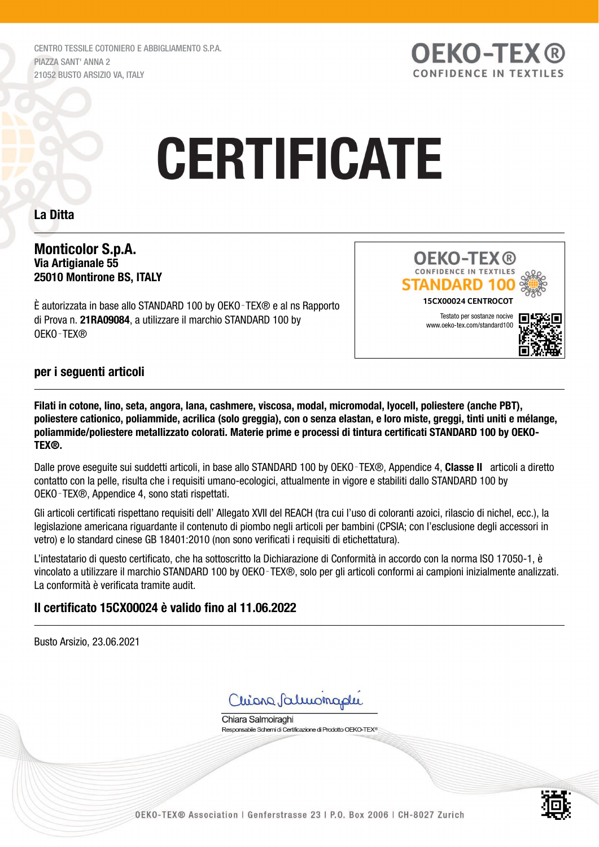CENTRO TESSILE COTONIERO E ABBIGLIAMENTO S.P.A. PIAZZA SANT' ANNA 2 21052 BUSTO ARSIZIO VA, ITALY



# **CERTIFICATE**

### La Ditta

#### Monticolor S.p.A. Via Artigianale 55 25010 Montirone BS, ITALY

È autorizzata in base allo STANDARD 100 by OEKO‑TEX® e al ns Rapporto di Prova n. 21RA09084, a utilizzare il marchio STANDARD 100 by OEKO‑TEX®



### per i seguenti articoli

Filati in cotone, lino, seta, angora, lana, cashmere, viscosa, modal, micromodal, lyocell, poliestere (anche PBT), poliestere cationico, poliammide, acrilica (solo greggia), con o senza elastan, e loro miste, greggi, tinti uniti e mélange, poliammide/poliestere metallizzato colorati. Materie prime e processi di tintura certificati STANDARD 100 by OEKO-TEX®.

Dalle prove eseguite sui suddetti articoli, in base allo STANDARD 100 by OEKO-TEX®, Appendice 4, Classe II articoli a diretto contatto con la pelle, risulta che i requisiti umano-ecologici, attualmente in vigore e stabiliti dallo STANDARD 100 by OEKO‑TEX®, Appendice 4, sono stati rispettati.

Gli articoli certificati rispettano requisiti dell' Allegato XVII del REACH (tra cui l'uso di coloranti azoici, rilascio di nichel, ecc.), la legislazione americana riguardante il contenuto di piombo negli articoli per bambini (CPSIA; con l'esclusione degli accessori in vetro) e lo standard cinese GB 18401:2010 (non sono verificati i requisiti di etichettatura).

L'intestatario di questo certificato, che ha sottoscritto la Dichiarazione di Conformità in accordo con la norma ISO 17050-1, è vincolato a utilizzare il marchio STANDARD 100 by OEKO‑TEX®, solo per gli articoli conformi ai campioni inizialmente analizzati. La conformità è verificata tramite audit.

# Il certificato 15CX00024 è valido fino al 11.06.2022

Busto Arsizio, 23.06.2021

Chiona Saluonaphi

Chiara Salmoiraghi Responsabile Schemi di Certificazione di Prodotto OEKO-TEX<sup>®</sup>